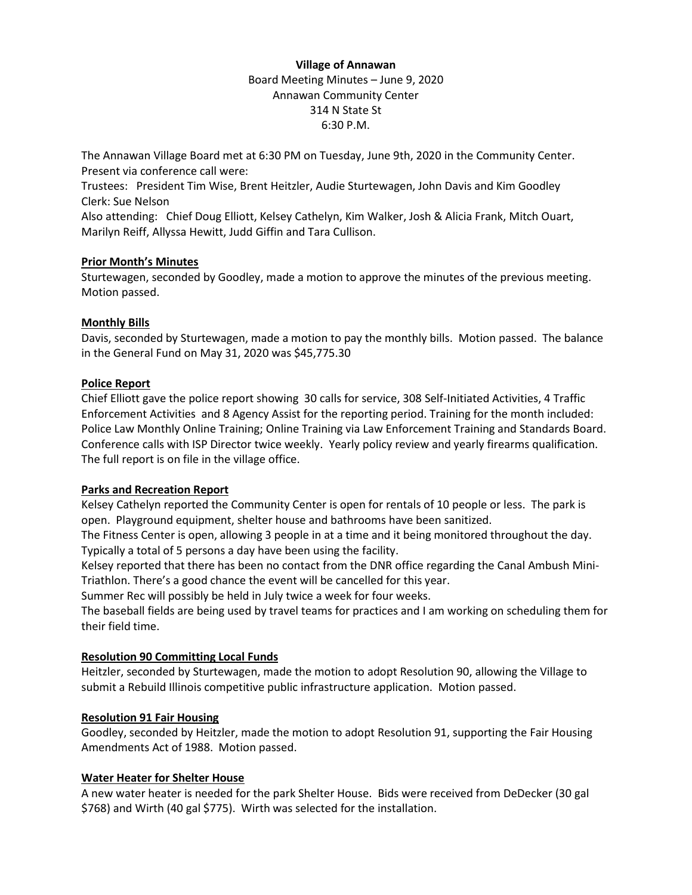# **Village of Annawan** Board Meeting Minutes – June 9, 2020 Annawan Community Center 314 N State St 6:30 P.M.

The Annawan Village Board met at 6:30 PM on Tuesday, June 9th, 2020 in the Community Center. Present via conference call were:

Trustees: President Tim Wise, Brent Heitzler, Audie Sturtewagen, John Davis and Kim Goodley Clerk: Sue Nelson

Also attending: Chief Doug Elliott, Kelsey Cathelyn, Kim Walker, Josh & Alicia Frank, Mitch Ouart, Marilyn Reiff, Allyssa Hewitt, Judd Giffin and Tara Cullison.

### **Prior Month's Minutes**

Sturtewagen, seconded by Goodley, made a motion to approve the minutes of the previous meeting. Motion passed.

# **Monthly Bills**

Davis, seconded by Sturtewagen, made a motion to pay the monthly bills. Motion passed. The balance in the General Fund on May 31, 2020 was \$45,775.30

# **Police Report**

Chief Elliott gave the police report showing 30 calls for service, 308 Self-Initiated Activities, 4 Traffic Enforcement Activities and 8 Agency Assist for the reporting period. Training for the month included: Police Law Monthly Online Training; Online Training via Law Enforcement Training and Standards Board. Conference calls with ISP Director twice weekly. Yearly policy review and yearly firearms qualification. The full report is on file in the village office.

### **Parks and Recreation Report**

Kelsey Cathelyn reported the Community Center is open for rentals of 10 people or less. The park is open. Playground equipment, shelter house and bathrooms have been sanitized.

The Fitness Center is open, allowing 3 people in at a time and it being monitored throughout the day. Typically a total of 5 persons a day have been using the facility.

Kelsey reported that there has been no contact from the DNR office regarding the Canal Ambush Mini-Triathlon. There's a good chance the event will be cancelled for this year.

Summer Rec will possibly be held in July twice a week for four weeks.

The baseball fields are being used by travel teams for practices and I am working on scheduling them for their field time.

# **Resolution 90 Committing Local Funds**

Heitzler, seconded by Sturtewagen, made the motion to adopt Resolution 90, allowing the Village to submit a Rebuild Illinois competitive public infrastructure application. Motion passed.

# **Resolution 91 Fair Housing**

Goodley, seconded by Heitzler, made the motion to adopt Resolution 91, supporting the Fair Housing Amendments Act of 1988. Motion passed.

### **Water Heater for Shelter House**

A new water heater is needed for the park Shelter House. Bids were received from DeDecker (30 gal \$768) and Wirth (40 gal \$775). Wirth was selected for the installation.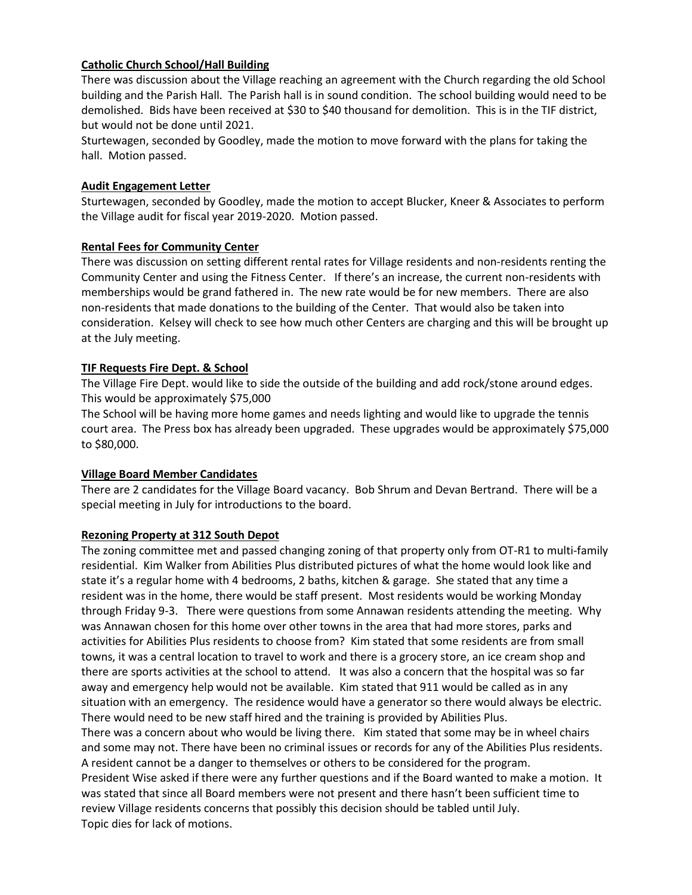# **Catholic Church School/Hall Building**

There was discussion about the Village reaching an agreement with the Church regarding the old School building and the Parish Hall. The Parish hall is in sound condition. The school building would need to be demolished. Bids have been received at \$30 to \$40 thousand for demolition. This is in the TIF district, but would not be done until 2021.

Sturtewagen, seconded by Goodley, made the motion to move forward with the plans for taking the hall. Motion passed.

### **Audit Engagement Letter**

Sturtewagen, seconded by Goodley, made the motion to accept Blucker, Kneer & Associates to perform the Village audit for fiscal year 2019-2020. Motion passed.

#### **Rental Fees for Community Center**

There was discussion on setting different rental rates for Village residents and non-residents renting the Community Center and using the Fitness Center. If there's an increase, the current non-residents with memberships would be grand fathered in. The new rate would be for new members. There are also non-residents that made donations to the building of the Center. That would also be taken into consideration. Kelsey will check to see how much other Centers are charging and this will be brought up at the July meeting.

#### **TIF Requests Fire Dept. & School**

The Village Fire Dept. would like to side the outside of the building and add rock/stone around edges. This would be approximately \$75,000

The School will be having more home games and needs lighting and would like to upgrade the tennis court area. The Press box has already been upgraded. These upgrades would be approximately \$75,000 to \$80,000.

#### **Village Board Member Candidates**

There are 2 candidates for the Village Board vacancy. Bob Shrum and Devan Bertrand. There will be a special meeting in July for introductions to the board.

#### **Rezoning Property at 312 South Depot**

The zoning committee met and passed changing zoning of that property only from OT-R1 to multi-family residential. Kim Walker from Abilities Plus distributed pictures of what the home would look like and state it's a regular home with 4 bedrooms, 2 baths, kitchen & garage. She stated that any time a resident was in the home, there would be staff present. Most residents would be working Monday through Friday 9-3. There were questions from some Annawan residents attending the meeting. Why was Annawan chosen for this home over other towns in the area that had more stores, parks and activities for Abilities Plus residents to choose from? Kim stated that some residents are from small towns, it was a central location to travel to work and there is a grocery store, an ice cream shop and there are sports activities at the school to attend. It was also a concern that the hospital was so far away and emergency help would not be available. Kim stated that 911 would be called as in any situation with an emergency. The residence would have a generator so there would always be electric. There would need to be new staff hired and the training is provided by Abilities Plus.

There was a concern about who would be living there. Kim stated that some may be in wheel chairs and some may not. There have been no criminal issues or records for any of the Abilities Plus residents. A resident cannot be a danger to themselves or others to be considered for the program. President Wise asked if there were any further questions and if the Board wanted to make a motion. It was stated that since all Board members were not present and there hasn't been sufficient time to

review Village residents concerns that possibly this decision should be tabled until July. Topic dies for lack of motions.